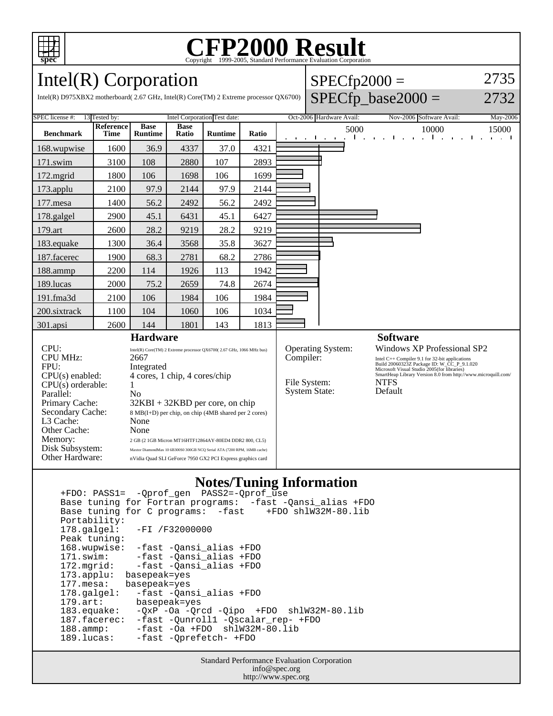

# C<sub>opyright</sub> ©1999-2005, Standard Performance Evaluation Corporation

 $SPECfp2000 =$ 

2735

### Intel(R) Corporation

| Intel(R) D975XBX2 motherboard(2.67 GHz, Intel(R) Core(TM) 2 Extreme processor QX6700)                                                                                |                              |                                                                                                                                                                                                                                                                                                        |                      |                |       |                          |                                                                               |  |      | $SPECfp\_base2000 =$                                                                                                                                                                                                                                                  |                       | 2732                                                                      |
|----------------------------------------------------------------------------------------------------------------------------------------------------------------------|------------------------------|--------------------------------------------------------------------------------------------------------------------------------------------------------------------------------------------------------------------------------------------------------------------------------------------------------|----------------------|----------------|-------|--------------------------|-------------------------------------------------------------------------------|--|------|-----------------------------------------------------------------------------------------------------------------------------------------------------------------------------------------------------------------------------------------------------------------------|-----------------------|---------------------------------------------------------------------------|
| SPEC license #:<br>13 Tested by:                                                                                                                                     | Intel Corporation Test date: |                                                                                                                                                                                                                                                                                                        |                      |                |       | Oct-2006 Hardware Avail: |                                                                               |  |      | Nov-2006 Software Avail:                                                                                                                                                                                                                                              | May-2006              |                                                                           |
| <b>Benchmark</b>                                                                                                                                                     | Reference<br><b>Time</b>     | <b>Base</b><br><b>Runtime</b>                                                                                                                                                                                                                                                                          | <b>Base</b><br>Ratio | <b>Runtime</b> | Ratio |                          | the contract of the contract of                                               |  | 5000 |                                                                                                                                                                                                                                                                       | 10000<br>The Contract | 15000<br>$\mathbf{r} = \mathbf{r} + \mathbf{r}$<br>$\sim$<br>$\mathbf{I}$ |
| 168.wupwise                                                                                                                                                          | 1600                         | 36.9                                                                                                                                                                                                                                                                                                   | 4337                 | 37.0           | 4321  |                          |                                                                               |  |      |                                                                                                                                                                                                                                                                       |                       |                                                                           |
| 171.swim                                                                                                                                                             | 3100                         | 108                                                                                                                                                                                                                                                                                                    | 2880                 | 107            | 2893  |                          |                                                                               |  |      |                                                                                                                                                                                                                                                                       |                       |                                                                           |
| 172.mgrid                                                                                                                                                            | 1800                         | 106                                                                                                                                                                                                                                                                                                    | 1698                 | 106            | 1699  |                          |                                                                               |  |      |                                                                                                                                                                                                                                                                       |                       |                                                                           |
| 173.applu                                                                                                                                                            | 2100                         | 97.9                                                                                                                                                                                                                                                                                                   | 2144                 | 97.9           | 2144  |                          |                                                                               |  |      |                                                                                                                                                                                                                                                                       |                       |                                                                           |
| 177.mesa                                                                                                                                                             | 1400                         | 56.2                                                                                                                                                                                                                                                                                                   | 2492                 | 56.2           | 2492  |                          |                                                                               |  |      |                                                                                                                                                                                                                                                                       |                       |                                                                           |
| 178.galgel                                                                                                                                                           | 2900                         | 45.1                                                                                                                                                                                                                                                                                                   | 6431                 | 45.1           | 6427  |                          |                                                                               |  |      |                                                                                                                                                                                                                                                                       |                       |                                                                           |
| 179.art                                                                                                                                                              | 2600                         | 28.2                                                                                                                                                                                                                                                                                                   | 9219                 | 28.2           | 9219  |                          |                                                                               |  |      |                                                                                                                                                                                                                                                                       |                       |                                                                           |
| 183.equake                                                                                                                                                           | 1300                         | 36.4                                                                                                                                                                                                                                                                                                   | 3568                 | 35.8           | 3627  |                          |                                                                               |  |      |                                                                                                                                                                                                                                                                       |                       |                                                                           |
| 187.facerec                                                                                                                                                          | 1900                         | 68.3                                                                                                                                                                                                                                                                                                   | 2781                 | 68.2           | 2786  |                          |                                                                               |  |      |                                                                                                                                                                                                                                                                       |                       |                                                                           |
| 188.ammp                                                                                                                                                             | 2200                         | 114                                                                                                                                                                                                                                                                                                    | 1926                 | 113            | 1942  |                          |                                                                               |  |      |                                                                                                                                                                                                                                                                       |                       |                                                                           |
| 189.lucas                                                                                                                                                            | 2000                         | 75.2                                                                                                                                                                                                                                                                                                   | 2659                 | 74.8           | 2674  |                          |                                                                               |  |      |                                                                                                                                                                                                                                                                       |                       |                                                                           |
| 191.fma3d                                                                                                                                                            | 2100                         | 106                                                                                                                                                                                                                                                                                                    | 1984                 | 106            | 1984  |                          |                                                                               |  |      |                                                                                                                                                                                                                                                                       |                       |                                                                           |
| 200.sixtrack                                                                                                                                                         | 1100                         | 104                                                                                                                                                                                                                                                                                                    | 1060                 | 106            | 1034  |                          |                                                                               |  |      |                                                                                                                                                                                                                                                                       |                       |                                                                           |
| 301.apsi                                                                                                                                                             | 2600                         | 144                                                                                                                                                                                                                                                                                                    | 1801                 | 143            | 1813  |                          |                                                                               |  |      |                                                                                                                                                                                                                                                                       |                       |                                                                           |
| <b>Hardware</b>                                                                                                                                                      |                              |                                                                                                                                                                                                                                                                                                        |                      |                |       |                          |                                                                               |  |      | <b>Software</b>                                                                                                                                                                                                                                                       |                       |                                                                           |
| CPU:<br><b>CPU MHz:</b><br>FPU:<br>CPU(s) enabled:<br>$CPU(s)$ orderable:<br>Parallel:<br>Primary Cache:<br>Secondary Cache:<br>L3 Cache:<br>Other Cache:<br>Memory: |                              | Intel(R) Core(TM) 2 Extreme processor QX6700(2.67 GHz, 1066 MHz bus)<br>2667<br>Integrated<br>4 cores, 1 chip, 4 cores/chip<br>No<br>32KBI + 32KBD per core, on chip<br>8 MB(I+D) per chip, on chip (4MB shared per 2 cores)<br>None<br>None<br>2 GB (2 1GB Micron MT16HTF12864AY-80ED4 DDR2 800, CL5) |                      |                |       |                          | <b>Operating System:</b><br>Compiler:<br>File System:<br><b>System State:</b> |  |      | Windows XP Professional SP2<br>Intel C++ Compiler 9.1 for 32-bit applications<br>Build 20060323Z Package ID: W_CC_P_9.1.020<br>Microsoft Visual Studio 2005(for libraries)<br>SmartHeap Library Version 8.0 from http://www.microquill.com/<br><b>NTFS</b><br>Default |                       |                                                                           |
| Disk Subsystem:                                                                                                                                                      |                              | Maxtor DiamondMax 10 6B300S0 300GB NCQ Serial ATA (7200 RPM, 16MB cache)                                                                                                                                                                                                                               |                      |                |       |                          |                                                                               |  |      |                                                                                                                                                                                                                                                                       |                       |                                                                           |

#### **Notes/Tuning Information**

 +FDO: PASS1= -Qprof\_gen PASS2=-Qprof\_use Base tuning for Fortran programs: -fast -Qansi\_alias +FDO Base tuning for C programs: -fast Portability:<br>178.galgel: -FI /F32000000 Peak tuning: 168.wupwise: -fast -Qansi\_alias +FDO 171.swim: -fast -Qansi\_alias +FDO<br>172.mgrid: -fast -Qansi\_alias +FDO -fast -Qansi\_alias +FDO 173.applu: basepeak=yes 177.mesa: basepeak=yes 178.galgel: -fast -Qansi\_alias +FDO 179.art: basepeak=yes<br>183.equake: -QxP -Oa -Qr  $-QxP$  -Oa -Qrcd -Qipo +FDO shlW32M-80.lib 187.facerec: -fast -Qunroll1 -Qscalar\_rep- +FDO 188.ammp: -fast -Oa +FDO shlW32M-80.lib<br>189.lucas: -fast -Oprefetch- +FDO -fast -Qprefetch- +FDO

Other Hardware: nVidia Quad SLI GeForce 7950 GX2 PCI Express graphics card

Standard Performance Evaluation Corporation info@spec.org http://www.spec.org